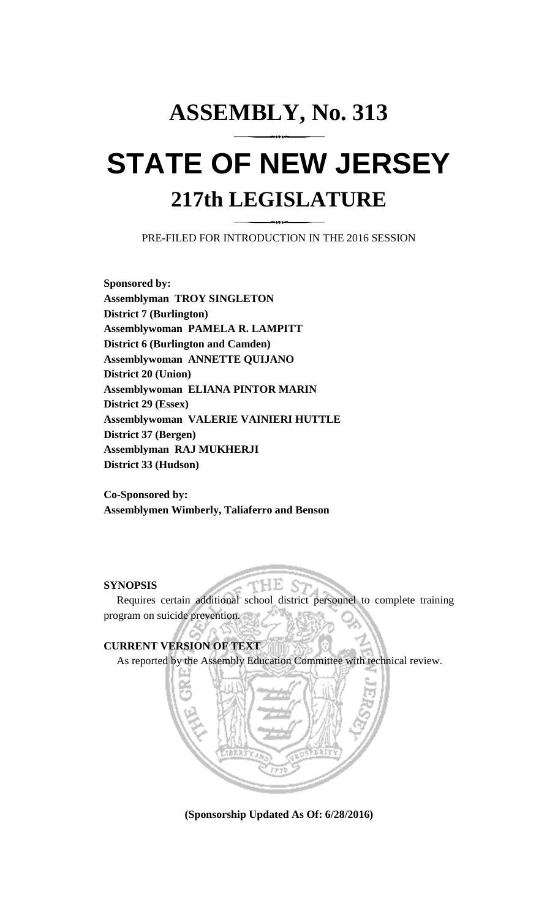## **ASSEMBLY, No. 313 STATE OF NEW JERSEY 217th LEGISLATURE**

PRE-FILED FOR INTRODUCTION IN THE 2016 SESSION

**Sponsored by: Assemblyman TROY SINGLETON District 7 (Burlington) Assemblywoman PAMELA R. LAMPITT District 6 (Burlington and Camden) Assemblywoman ANNETTE QUIJANO District 20 (Union) Assemblywoman ELIANA PINTOR MARIN District 29 (Essex) Assemblywoman VALERIE VAINIERI HUTTLE District 37 (Bergen) Assemblyman RAJ MUKHERJI District 33 (Hudson)**

**Co-Sponsored by: Assemblymen Wimberly, Taliaferro and Benson**

## **SYNOPSIS**

Requires certain additional school district personnel to complete training program on suicide prevention.

НE



**(Sponsorship Updated As Of: 6/28/2016)**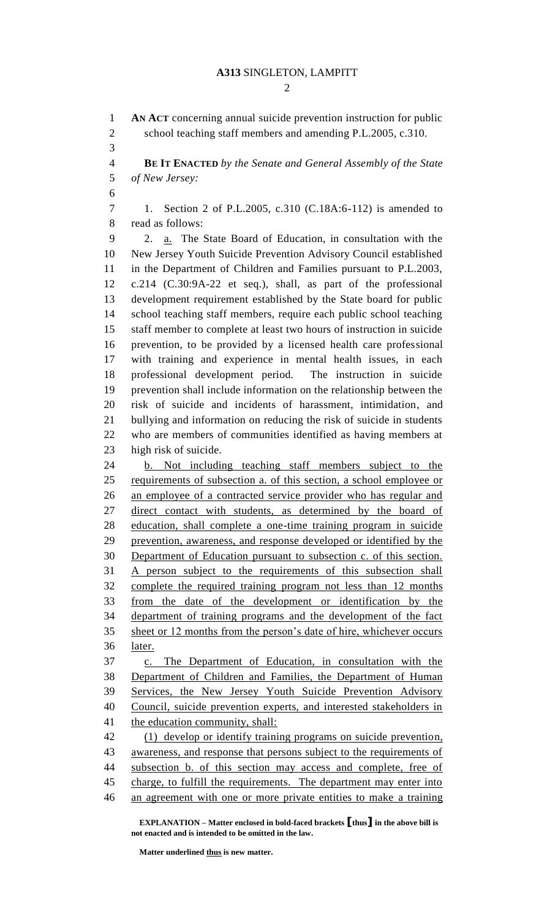## **A313** SINGLETON, LAMPITT

 $\mathcal{D}_{\mathcal{L}}$ 

 **AN ACT** concerning annual suicide prevention instruction for public 2 school teaching staff members and amending P.L.2005, c.310.

 **BE IT ENACTED** *by the Senate and General Assembly of the State of New Jersey:*

 1. Section 2 of P.L.2005, c.310 (C.18A:6-112) is amended to read as follows:

 2. a. The State Board of Education, in consultation with the New Jersey Youth Suicide Prevention Advisory Council established in the Department of Children and Families pursuant to P.L.2003, c.214 (C.30:9A-22 et seq.), shall, as part of the professional development requirement established by the State board for public school teaching staff members, require each public school teaching staff member to complete at least two hours of instruction in suicide prevention, to be provided by a licensed health care professional with training and experience in mental health issues, in each professional development period. The instruction in suicide prevention shall include information on the relationship between the risk of suicide and incidents of harassment, intimidation, and bullying and information on reducing the risk of suicide in students who are members of communities identified as having members at high risk of suicide.

 b. Not including teaching staff members subject to the requirements of subsection a. of this section, a school employee or an employee of a contracted service provider who has regular and 27 direct contact with students, as determined by the board of education, shall complete a one-time training program in suicide prevention, awareness, and response developed or identified by the Department of Education pursuant to subsection c. of this section. A person subject to the requirements of this subsection shall complete the required training program not less than 12 months from the date of the development or identification by the department of training programs and the development of the fact sheet or 12 months from the person's date of hire, whichever occurs later.

 c. The Department of Education, in consultation with the Department of Children and Families, the Department of Human Services, the New Jersey Youth Suicide Prevention Advisory Council, suicide prevention experts, and interested stakeholders in 41 the education community, shall:

 (1) develop or identify training programs on suicide prevention, awareness, and response that persons subject to the requirements of subsection b. of this section may access and complete, free of charge, to fulfill the requirements. The department may enter into an agreement with one or more private entities to make a training

**EXPLANATION – Matter enclosed in bold-faced brackets [thus] in the above bill is not enacted and is intended to be omitted in the law.**

**Matter underlined thus is new matter.**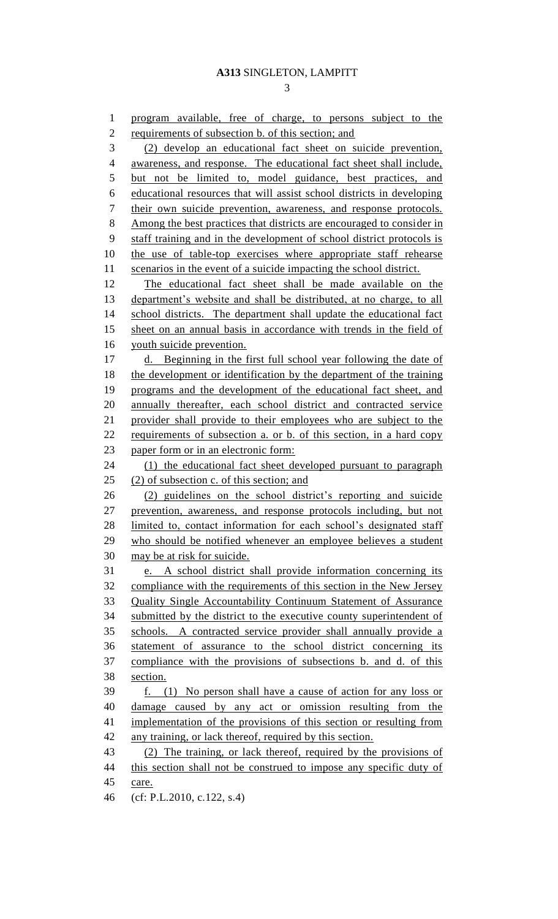program available, free of charge, to persons subject to the 2 requirements of subsection b. of this section; and (2) develop an educational fact sheet on suicide prevention, awareness, and response. The educational fact sheet shall include, but not be limited to, model guidance, best practices, and educational resources that will assist school districts in developing their own suicide prevention, awareness, and response protocols. Among the best practices that districts are encouraged to consider in staff training and in the development of school district protocols is the use of table-top exercises where appropriate staff rehearse 11 scenarios in the event of a suicide impacting the school district. The educational fact sheet shall be made available on the department's website and shall be distributed, at no charge, to all 14 school districts. The department shall update the educational fact 15 sheet on an annual basis in accordance with trends in the field of youth suicide prevention. 17 d. Beginning in the first full school year following the date of 18 the development or identification by the department of the training programs and the development of the educational fact sheet, and annually thereafter, each school district and contracted service provider shall provide to their employees who are subject to the requirements of subsection a. or b. of this section, in a hard copy 23 paper form or in an electronic form: (1) the educational fact sheet developed pursuant to paragraph 25 (2) of subsection c. of this section; and (2) guidelines on the school district's reporting and suicide prevention, awareness, and response protocols including, but not 28 limited to, contact information for each school's designated staff who should be notified whenever an employee believes a student may be at risk for suicide. e. A school district shall provide information concerning its compliance with the requirements of this section in the New Jersey Quality Single Accountability Continuum Statement of Assurance submitted by the district to the executive county superintendent of schools. A contracted service provider shall annually provide a statement of assurance to the school district concerning its compliance with the provisions of subsections b. and d. of this section. f. (1) No person shall have a cause of action for any loss or damage caused by any act or omission resulting from the implementation of the provisions of this section or resulting from any training, or lack thereof, required by this section. (2) The training, or lack thereof, required by the provisions of 44 this section shall not be construed to impose any specific duty of care. (cf: P.L.2010, c.122, s.4)